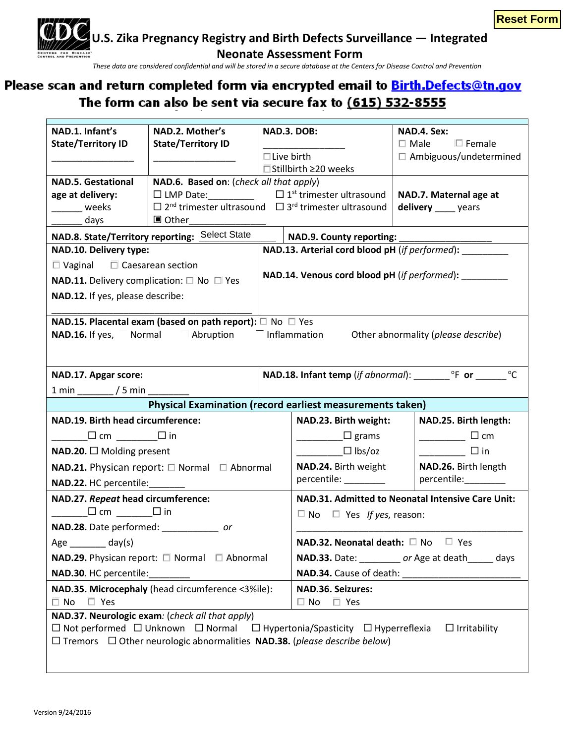

**U.S. Zika Pregnancy Registry and Birth Defects Surveillance — Integrated**

**Neonate Assessment Form**

*These data are considered confidential and will be stored in a secure database at the Centers for Disease Control and Prevention*

## **Please return completed form via SAMS or secure FTP—request access from ZIKApregnancy@cdc.gov The form completed form the energie email to <u>this address of angler</u></u>** The form can also be sent via secure fax to (615) 532-8555

| NAD.1. Infant's                                                                                                            | NAD.2. Mother's                                                                                    | NAD.3. DOB:                                                                                        |                                                       | NAD.4. Sex:                                    |  |  |  |  |
|----------------------------------------------------------------------------------------------------------------------------|----------------------------------------------------------------------------------------------------|----------------------------------------------------------------------------------------------------|-------------------------------------------------------|------------------------------------------------|--|--|--|--|
| <b>State/Territory ID</b>                                                                                                  | <b>State/Territory ID</b>                                                                          |                                                                                                    |                                                       | $\Box$ Male $\Box$ Female                      |  |  |  |  |
|                                                                                                                            |                                                                                                    | $\Box$ Live birth                                                                                  |                                                       | $\Box$ Ambiguous/undetermined                  |  |  |  |  |
|                                                                                                                            |                                                                                                    |                                                                                                    | □ Stillbirth ≥20 weeks                                |                                                |  |  |  |  |
| <b>NAD.5. Gestational</b>                                                                                                  | NAD.6. Based on: (check all that apply)                                                            |                                                                                                    |                                                       |                                                |  |  |  |  |
| age at delivery:<br>weeks                                                                                                  | $\Box$ LMP Date: $\Box$ $\Box$ 1 <sup>st</sup> trimester ultrasound                                |                                                                                                    |                                                       | NAD.7. Maternal age at<br>delivery _____ years |  |  |  |  |
| days                                                                                                                       | $\Box$ 2 <sup>nd</sup> trimester ultrasound $\Box$ 3 <sup>rd</sup> trimester ultrasound<br>■ Other |                                                                                                    |                                                       |                                                |  |  |  |  |
|                                                                                                                            | <b>NAD.8. State/Territory reporting: Select State</b>                                              |                                                                                                    | NAD.9. County reporting:                              |                                                |  |  |  |  |
| NAD.10. Delivery type:                                                                                                     |                                                                                                    |                                                                                                    | NAD.13. Arterial cord blood pH (if performed):        |                                                |  |  |  |  |
| $\Box$ Vaginal $\Box$ Caesarean section                                                                                    |                                                                                                    |                                                                                                    |                                                       |                                                |  |  |  |  |
|                                                                                                                            | <b>NAD.11.</b> Delivery complication: $\Box$ No $\Box$ Yes                                         |                                                                                                    | NAD.14. Venous cord blood pH (if performed): ________ |                                                |  |  |  |  |
| NAD.12. If yes, please describe:                                                                                           |                                                                                                    |                                                                                                    |                                                       |                                                |  |  |  |  |
|                                                                                                                            |                                                                                                    |                                                                                                    |                                                       |                                                |  |  |  |  |
|                                                                                                                            | NAD.15. Placental exam (based on path report): $\square$ No $\square$ Yes                          |                                                                                                    |                                                       |                                                |  |  |  |  |
| NAD.16. If yes,                                                                                                            | Normal<br>Abruption                                                                                |                                                                                                    | mation mation                                         | Other abnormality (please describe)            |  |  |  |  |
|                                                                                                                            |                                                                                                    |                                                                                                    |                                                       |                                                |  |  |  |  |
| NAD.17. Apgar score:                                                                                                       |                                                                                                    | <b>NAD.18. Infant temp</b> (if abnormal): <b>COMPLEM OF OF COMPLEM OF OF COMPLEM OF OF COMPLEM</b> |                                                       |                                                |  |  |  |  |
| $1 min$ $/5 min$ $/5 min$                                                                                                  |                                                                                                    |                                                                                                    |                                                       |                                                |  |  |  |  |
| <b>Physical Examination (record earliest measurements taken)</b>                                                           |                                                                                                    |                                                                                                    |                                                       |                                                |  |  |  |  |
| NAD.19. Birth head circumference:                                                                                          |                                                                                                    |                                                                                                    | NAD.23. Birth weight:<br>NAD.25. Birth length:        |                                                |  |  |  |  |
| _______□ cm __________□ in                                                                                                 |                                                                                                    |                                                                                                    | $\Box$ grams                                          | $\frac{1}{\sqrt{1-\frac{1}{2}}}\Box$ cm        |  |  |  |  |
| NAD.20. $\Box$ Molding present                                                                                             |                                                                                                    |                                                                                                    | $\Box$ lbs/oz                                         | $\overline{\qquad \qquad }$ $\Box$ in          |  |  |  |  |
| <b>NAD.21.</b> Physican report: $\Box$ Normal $\Box$ Abnormal                                                              |                                                                                                    |                                                                                                    | NAD.24. Birth weight<br>NAD.26. Birth length          |                                                |  |  |  |  |
| NAD.22. HC percentile:                                                                                                     |                                                                                                    |                                                                                                    | percentile: ________                                  | percentile:________                            |  |  |  |  |
| NAD.27. Repeat head circumference:                                                                                         |                                                                                                    |                                                                                                    | NAD.31. Admitted to Neonatal Intensive Care Unit:     |                                                |  |  |  |  |
| $\Box$ cm $\_\_\_\_\_\_\_\_\$                                                                                              |                                                                                                    |                                                                                                    | $\Box$ No $\Box$ Yes If yes, reason:                  |                                                |  |  |  |  |
| NAD.28. Date performed: ________________ or                                                                                |                                                                                                    |                                                                                                    |                                                       |                                                |  |  |  |  |
| $Age \_$ day(s)                                                                                                            |                                                                                                    |                                                                                                    | NAD.32. Neonatal death: □ No □ Yes                    |                                                |  |  |  |  |
| NAD.29. Physican report: □ Normal □ Abnormal                                                                               |                                                                                                    |                                                                                                    | NAD.33. Date: _________ or Age at death______ days    |                                                |  |  |  |  |
| <b>NAD.30. HC percentile:</b>                                                                                              |                                                                                                    |                                                                                                    |                                                       |                                                |  |  |  |  |
| NAD.35. Microcephaly (head circumference <3%ile):                                                                          |                                                                                                    |                                                                                                    | NAD.36. Seizures:                                     |                                                |  |  |  |  |
| $\square$ Yes<br>$\Box$ No                                                                                                 |                                                                                                    |                                                                                                    | $\Box$ Yes<br>$\Box$ No                               |                                                |  |  |  |  |
|                                                                                                                            | NAD.37. Neurologic exam: (check all that apply)                                                    |                                                                                                    |                                                       |                                                |  |  |  |  |
| $\Box$ Not performed $\Box$ Unknown $\Box$ Normal $\Box$ Hypertonia/Spasticity $\Box$ Hyperreflexia<br>$\Box$ Irritability |                                                                                                    |                                                                                                    |                                                       |                                                |  |  |  |  |
| $\Box$ Tremors $\Box$ Other neurologic abnormalities NAD.38. (please describe below)                                       |                                                                                                    |                                                                                                    |                                                       |                                                |  |  |  |  |
|                                                                                                                            |                                                                                                    |                                                                                                    |                                                       |                                                |  |  |  |  |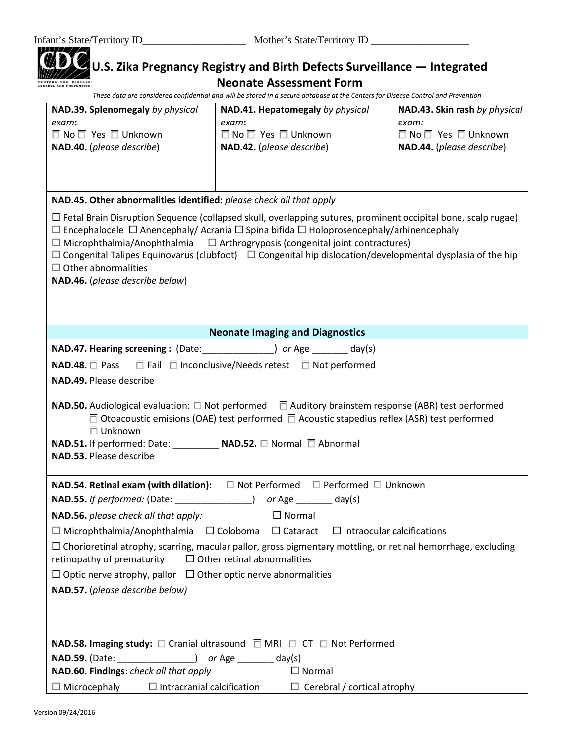## **U.S. Zika Pregnancy Registry and Birth Defects Surveillance — Integrated Neonate Assessment Form**

*These data are considered confidential and will be stored in a secure database at the Centers for Disease Control and Prevention*

| NAD.39. Splenomegaly by physical                                                                                                                                                                                                                                                                                                       | NAD.41. Hepatomegaly by physical                                                                                      | NAD.43. Skin rash by physical       |  |  |  |  |
|----------------------------------------------------------------------------------------------------------------------------------------------------------------------------------------------------------------------------------------------------------------------------------------------------------------------------------------|-----------------------------------------------------------------------------------------------------------------------|-------------------------------------|--|--|--|--|
| exam:                                                                                                                                                                                                                                                                                                                                  | exam:                                                                                                                 | exam:                               |  |  |  |  |
| $\Box$ No $\Box$ Yes $\Box$ Unknown                                                                                                                                                                                                                                                                                                    | $\Box$ No $\Box$ Yes $\Box$ Unknown                                                                                   | $\Box$ No $\Box$ Yes $\Box$ Unknown |  |  |  |  |
| NAD.40. (please describe)                                                                                                                                                                                                                                                                                                              | NAD.42. (please describe)                                                                                             | NAD.44. (please describe)           |  |  |  |  |
|                                                                                                                                                                                                                                                                                                                                        |                                                                                                                       |                                     |  |  |  |  |
|                                                                                                                                                                                                                                                                                                                                        |                                                                                                                       |                                     |  |  |  |  |
| NAD.45. Other abnormalities identified: please check all that apply                                                                                                                                                                                                                                                                    |                                                                                                                       |                                     |  |  |  |  |
| $\Box$ Fetal Brain Disruption Sequence (collapsed skull, overlapping sutures, prominent occipital bone, scalp rugae)                                                                                                                                                                                                                   |                                                                                                                       |                                     |  |  |  |  |
| $\Box$ Encephalocele $\Box$ Anencephaly/ Acrania $\Box$ Spina bifida $\Box$ Holoprosencephaly/arhinencephaly                                                                                                                                                                                                                           |                                                                                                                       |                                     |  |  |  |  |
|                                                                                                                                                                                                                                                                                                                                        | $\Box$ Microphthalmia/Anophthalmia $\Box$ Arthrogryposis (congenital joint contractures)                              |                                     |  |  |  |  |
|                                                                                                                                                                                                                                                                                                                                        | $\Box$ Congenital Talipes Equinovarus (clubfoot) $\Box$ Congenital hip dislocation/developmental dysplasia of the hip |                                     |  |  |  |  |
|                                                                                                                                                                                                                                                                                                                                        | $\Box$ Other abnormalities                                                                                            |                                     |  |  |  |  |
| NAD.46. (please describe below)                                                                                                                                                                                                                                                                                                        |                                                                                                                       |                                     |  |  |  |  |
|                                                                                                                                                                                                                                                                                                                                        |                                                                                                                       |                                     |  |  |  |  |
|                                                                                                                                                                                                                                                                                                                                        |                                                                                                                       |                                     |  |  |  |  |
|                                                                                                                                                                                                                                                                                                                                        | <b>Neonate Imaging and Diagnostics</b>                                                                                |                                     |  |  |  |  |
|                                                                                                                                                                                                                                                                                                                                        | <b>NAD.47. Hearing screening: (Date:</b> ) or Age ______ day(s)                                                       |                                     |  |  |  |  |
| <b>NAD.48.</b> Pass $\Box$ Fail $\Box$ Inconclusive/Needs retest $\Box$ Not performed                                                                                                                                                                                                                                                  |                                                                                                                       |                                     |  |  |  |  |
| NAD.49. Please describe                                                                                                                                                                                                                                                                                                                |                                                                                                                       |                                     |  |  |  |  |
| <b>NAD.50.</b> Audiological evaluation: $\Box$ Not performed $\Box$ Auditory brainstem response (ABR) test performed<br>$\Box$ Otoacoustic emisions (OAE) test performed $\Box$ Acoustic stapedius reflex (ASR) test performed<br>$\Box$ Unknown<br>NAD.51. If performed: Date: NAD.52. □ Normal □ Abnormal<br>NAD.53. Please describe |                                                                                                                       |                                     |  |  |  |  |
|                                                                                                                                                                                                                                                                                                                                        | $\Box$ Not Performed $\Box$ Performed $\Box$ Unknown                                                                  |                                     |  |  |  |  |
| NAD.54. Retinal exam (with dilation):                                                                                                                                                                                                                                                                                                  |                                                                                                                       |                                     |  |  |  |  |
| NAD.55. If performed: (Date: _______________) or Age _______ day(s)                                                                                                                                                                                                                                                                    |                                                                                                                       |                                     |  |  |  |  |
| NAD.56. please check all that apply:<br>$\Box$ Normal                                                                                                                                                                                                                                                                                  |                                                                                                                       |                                     |  |  |  |  |
| $\Box$ Microphthalmia/Anophthalmia $\Box$ Coloboma $\Box$ Cataract $\Box$ Intraocular calcifications                                                                                                                                                                                                                                   |                                                                                                                       |                                     |  |  |  |  |
| $\Box$ Chorioretinal atrophy, scarring, macular pallor, gross pigmentary mottling, or retinal hemorrhage, excluding<br>retinopathy of prematurity<br>$\Box$ Other retinal abnormalities                                                                                                                                                |                                                                                                                       |                                     |  |  |  |  |
| $\Box$ Optic nerve atrophy, pallor $\Box$ Other optic nerve abnormalities                                                                                                                                                                                                                                                              |                                                                                                                       |                                     |  |  |  |  |
| NAD.57. (please describe below)                                                                                                                                                                                                                                                                                                        |                                                                                                                       |                                     |  |  |  |  |
|                                                                                                                                                                                                                                                                                                                                        |                                                                                                                       |                                     |  |  |  |  |
|                                                                                                                                                                                                                                                                                                                                        |                                                                                                                       |                                     |  |  |  |  |
|                                                                                                                                                                                                                                                                                                                                        |                                                                                                                       |                                     |  |  |  |  |
| <b>NAD.58. Imaging study:</b> $\square$ Cranial ultrasound $\square$ MRI $\square$ CT $\square$ Not Performed                                                                                                                                                                                                                          |                                                                                                                       |                                     |  |  |  |  |
| <b>NAD.59.</b> (Date: ________________) or Age ________ day(s)                                                                                                                                                                                                                                                                         |                                                                                                                       |                                     |  |  |  |  |
| NAD.60. Findings: check all that apply<br>$\Box$ Normal                                                                                                                                                                                                                                                                                |                                                                                                                       |                                     |  |  |  |  |
| $\Box$ Microcephaly<br>$\Box$ Intracranial calcification<br>$\Box$ Cerebral / cortical atrophy                                                                                                                                                                                                                                         |                                                                                                                       |                                     |  |  |  |  |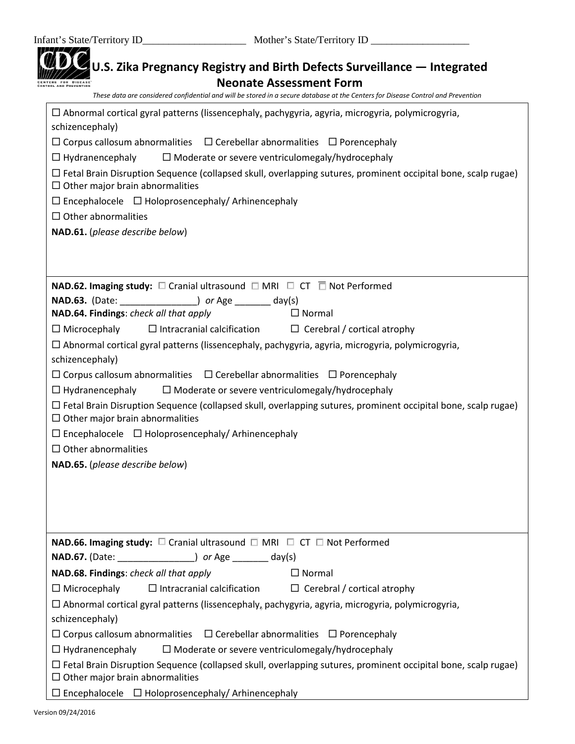|                 | <b>Neonate Assessment Form</b><br>These data are considered confidential and will be stored in a secure database at the Centers for Disease Control and Prevention |
|-----------------|--------------------------------------------------------------------------------------------------------------------------------------------------------------------|
|                 | $\Box$ Abnormal cortical gyral patterns (lissencephaly, pachygyria, agyria, microgyria, polymicrogyria,                                                            |
| schizencephaly) |                                                                                                                                                                    |
|                 | $\Box$ Corpus callosum abnormalities $\Box$ Cerebellar abnormalities $\Box$ Porencephaly                                                                           |
|                 | $\Box$ Hydranencephaly<br>$\Box$ Moderate or severe ventriculomegaly/hydrocephaly                                                                                  |
|                 | $\Box$ Fetal Brain Disruption Sequence (collapsed skull, overlapping sutures, prominent occipital bone, scalp rugae)<br>$\Box$ Other major brain abnormalities     |
|                 | $\Box$ Encephalocele $\Box$ Holoprosencephaly/ Arhinencephaly                                                                                                      |
|                 | $\Box$ Other abnormalities                                                                                                                                         |
|                 | NAD.61. (please describe below)                                                                                                                                    |
|                 | <b>NAD.62. Imaging study:</b> $\square$ Cranial ultrasound $\square$ MRI $\square$ CT $\square$ Not Performed                                                      |
|                 | <b>NAD.63.</b> (Date: ________________) or Age ________ day(s)                                                                                                     |
|                 | NAD.64. Findings: check all that apply<br>$\Box$ Normal                                                                                                            |
|                 | $\Box$ Intracranial calcification $\Box$ Cerebral / cortical atrophy<br>$\Box$ Microcephaly                                                                        |
|                 | $\Box$ Abnormal cortical gyral patterns (lissencephaly, pachygyria, agyria, microgyria, polymicrogyria,                                                            |
|                 | schizencephaly)                                                                                                                                                    |
|                 | $\Box$ Corpus callosum abnormalities $\Box$ Cerebellar abnormalities $\Box$ Porencephaly                                                                           |
|                 | $\Box$ Hydranencephaly<br>$\Box$ Moderate or severe ventriculomegaly/hydrocephaly                                                                                  |
|                 | $\Box$ Fetal Brain Disruption Sequence (collapsed skull, overlapping sutures, prominent occipital bone, scalp rugae)<br>$\Box$ Other major brain abnormalities     |
|                 | $\Box$ Encephalocele $\Box$ Holoprosencephaly/ Arhinencephaly                                                                                                      |
|                 | $\Box$ Other abnormalities                                                                                                                                         |
|                 | NAD.65. (please describe below)                                                                                                                                    |
|                 |                                                                                                                                                                    |
|                 |                                                                                                                                                                    |
|                 |                                                                                                                                                                    |
|                 |                                                                                                                                                                    |
|                 | <b>NAD.66. Imaging study:</b> $\square$ Cranial ultrasound $\square$ MRI $\square$ CT $\square$ Not Performed                                                      |
|                 |                                                                                                                                                                    |
|                 | NAD.68. Findings: check all that apply<br>$\Box$ Normal                                                                                                            |
|                 | $\Box$ Intracranial calcification $\Box$ Cerebral / cortical atrophy<br>$\Box$ Microcephaly                                                                        |
|                 |                                                                                                                                                                    |
|                 | $\Box$ Abnormal cortical gyral patterns (lissencephaly, pachygyria, agyria, microgyria, polymicrogyria,<br>schizencephaly)                                         |
|                 | $\Box$ Corpus callosum abnormalities $\Box$ Cerebellar abnormalities $\Box$ Porencephaly                                                                           |
|                 | $\Box$ Hydranencephaly<br>$\Box$ Moderate or severe ventriculomegaly/hydrocephaly                                                                                  |
|                 | $\Box$ Fetal Brain Disruption Sequence (collapsed skull, overlapping sutures, prominent occipital bone, scalp rugae)                                               |
|                 | $\Box$ Other major brain abnormalities                                                                                                                             |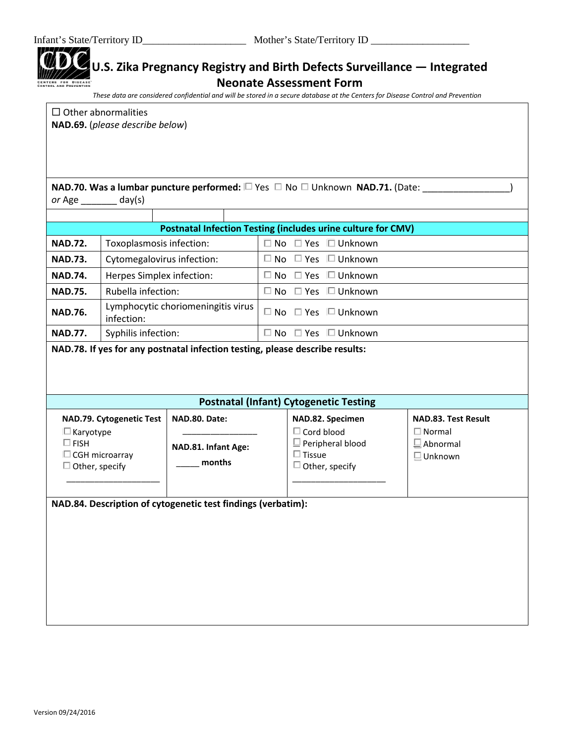| <i>or</i> Age _________               | $_{\alpha}$ day(s)                               | NAD.70. Was a lumbar puncture performed: $\square$ Yes $\square$ No $\square$ Unknown NAD.71. (Date: |                   |                                              |                                  |
|---------------------------------------|--------------------------------------------------|------------------------------------------------------------------------------------------------------|-------------------|----------------------------------------------|----------------------------------|
|                                       |                                                  | <b>Postnatal Infection Testing (includes urine culture for CMV)</b>                                  |                   |                                              |                                  |
| <b>NAD.72.</b>                        | Toxoplasmosis infection:                         |                                                                                                      |                   | $\Box$ No $\Box$ Yes $\Box$ Unknown          |                                  |
| <b>NAD.73.</b>                        | Cytomegalovirus infection:                       |                                                                                                      |                   | $\Box$ No $\Box$ Yes $\Box$ Unknown          |                                  |
| <b>NAD.74.</b>                        | Herpes Simplex infection:                        |                                                                                                      |                   | $\Box$ No $\Box$ Yes $\Box$ Unknown          |                                  |
| <b>NAD.75.</b>                        | Rubella infection:                               |                                                                                                      |                   | $\Box$ No $\Box$ Yes $\Box$ Unknown          |                                  |
| <b>NAD.76.</b>                        | Lymphocytic choriomeningitis virus<br>infection: |                                                                                                      |                   | $\square$ No $\square$ Yes $\square$ Unknown |                                  |
| <b>NAD.77.</b>                        | Syphilis infection:                              |                                                                                                      |                   | $\Box$ No $\Box$ Yes $\Box$ Unknown          |                                  |
|                                       |                                                  | NAD.78. If yes for any postnatal infection testing, please describe results:                         |                   |                                              |                                  |
|                                       |                                                  |                                                                                                      |                   |                                              |                                  |
|                                       |                                                  | <b>Postnatal (Infant) Cytogenetic Testing</b>                                                        |                   |                                              |                                  |
|                                       | NAD.79. Cytogenetic Test                         | NAD.80. Date:                                                                                        |                   | NAD.82. Specimen                             | <b>NAD.83. Test Result</b>       |
| $\square$ Karyotype<br>$\square$ FISH |                                                  |                                                                                                      | $\Box$ Cord blood | $\Box$ Peripheral blood                      | $\Box$ Normal<br>$\Box$ Abnormal |
|                                       | $\Box$ CGH microarray                            | NAD.81. Infant Age:                                                                                  | $\Box$ Tissue     |                                              | $\Box$ Unknown                   |
| $\Box$ Other, specify                 |                                                  | months                                                                                               |                   | $\Box$ Other, specify                        |                                  |